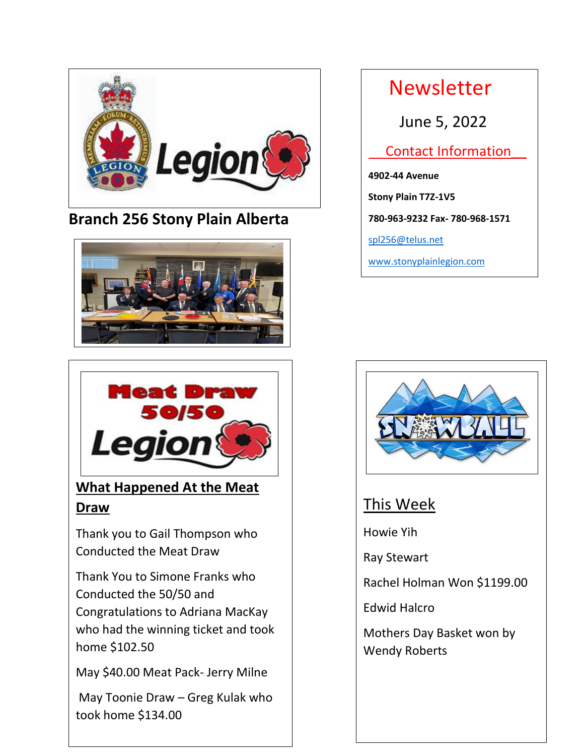

### **Branch 256 Stony Plain Alberta**





## **What Happened At the Meat Draw**

Thank you to Gail Thompson who Conducted the Meat Draw

Conducted the  $50/50$  and who had the winning ticket and took Thank You to Simone Franks who Congratulations to Adriana MacKay home \$102.50

May \$40.00 Meat Pack- Jerry Milne

May Toonie Draw – Greg Kulak who took home \$134.00

 Newsletter June 5, 2022 Contact Information\_\_ **4902-44 Avenue Stony Plain T7Z-1V5 780-963-9232 Fax- 780-968-1571** [spl256@telus.net](mailto:spl256@telus.net)

[www.stonyplainlegion.com](http://www.stonyplainlegion.com/)



### This Week

Howie Yih

Ray Stewart

Rachel Holman Won \$1199.00

Edwid Halcro

Mothers Day Basket won by Wendy Roberts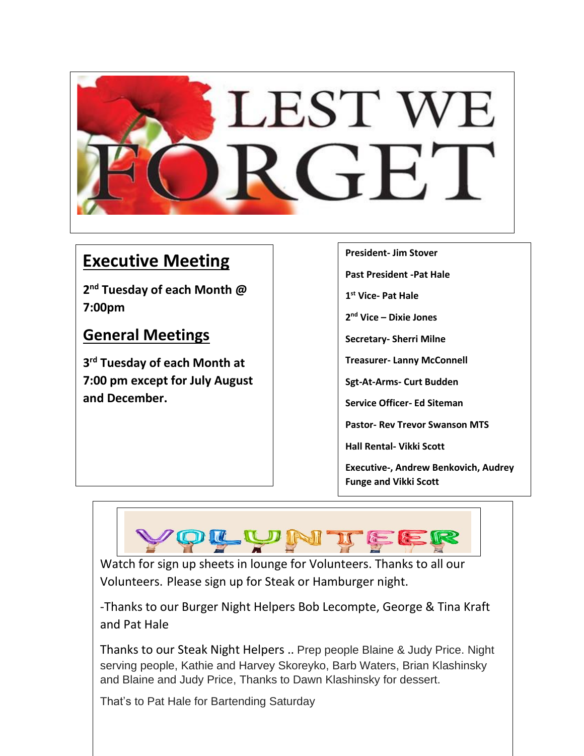

# **Executive Meeting**

**2 nd Tuesday of each Month @ 7:00pm** 

### **General Meetings**

**3 rd Tuesday of each Month at 7:00 pm except for July August and December.**

**President- Jim Stover**

**Past President -Pat Hale**

**1 st Vice- Pat Hale**

**2 nd Vice – Dixie Jones**

**Secretary- Sherri Milne**

**Treasurer- Lanny McConnell**

**Sgt-At-Arms- Curt Budden**

**Service Officer- Ed Siteman**

**Pastor- Rev Trevor Swanson MTS**

**Hall Rental- Vikki Scott**

**Executive-, Andrew Benkovich, Audrey Funge and Vikki Scott** 



Watch for sign up sheets in lounge for Volunteers. Thanks to all our Volunteers. Please sign up for Steak or Hamburger night.

-Thanks to our Burger Night Helpers Bob Lecompte, George & Tina Kraft and Pat Hale

Thanks to our Steak Night Helpers .. Prep people Blaine & Judy Price. Night serving people, Kathie and Harvey Skoreyko, Barb Waters, Brian Klashinsky and Blaine and Judy Price, Thanks to Dawn Klashinsky for dessert.

That's to Pat Hale for Bartending Saturday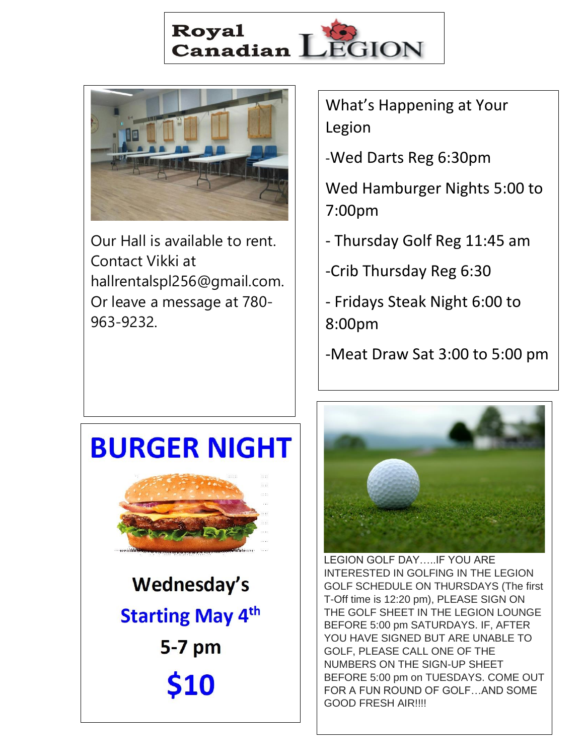



Our Hall is available to rent. Contact Vikki at hallrentalspl256@gmail.com. Or leave a message at 780- 963-9232.

What's Happening at Your Legion

-Wed Darts Reg 6:30pm

Wed Hamburger Nights 5:00 to 7:00pm

- Thursday Golf Reg 11:45 am

-Crib Thursday Reg 6:30

- Fridays Steak Night 6:00 to 8:00pm
- -Meat Draw Sat 3:00 to 5:00 pm

# **BURGER NIGHT**

Wednesday's **Starting May 4th** 5-7 pm \$10



LEGION GOLF DAY…..IF YOU ARE INTERESTED IN GOLFING IN THE LEGION GOLF SCHEDULE ON THURSDAYS (The first T-Off time is 12:20 pm), PLEASE SIGN ON THE GOLF SHEET IN THE LEGION LOUNGE BEFORE 5:00 pm SATURDAYS. IF, AFTER YOU HAVE SIGNED BUT ARE UNABLE TO GOLF, PLEASE CALL ONE OF THE NUMBERS ON THE SIGN-UP SHEET BEFORE 5:00 pm on TUESDAYS. COME OUT FOR A FUN ROUND OF GOLF…AND SOME GOOD FRESH AIR!!!!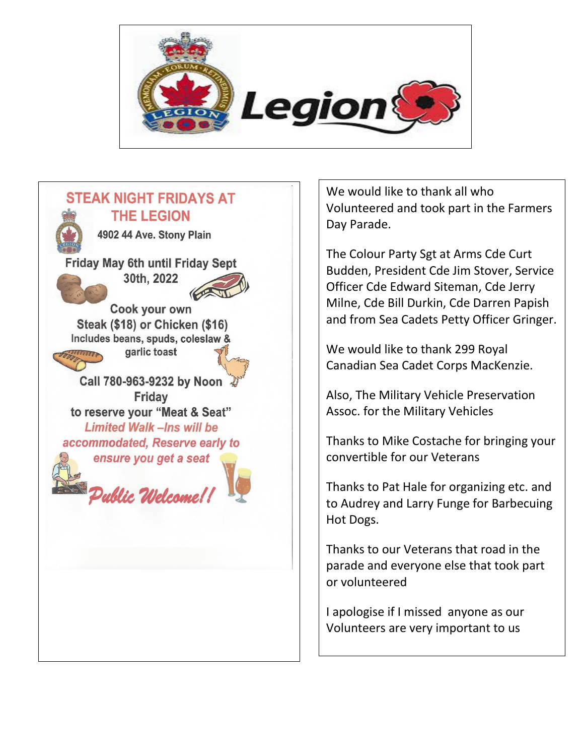



We would like to thank all who Volunteered and took part in the Farmers Day Parade.

The Colour Party Sgt at Arms Cde Curt Budden, President Cde Jim Stover, Service Officer Cde Edward Siteman, Cde Jerry Milne, Cde Bill Durkin, Cde Darren Papish and from Sea Cadets Petty Officer Gringer.

We would like to thank 299 Royal Canadian Sea Cadet Corps MacKenzie.

Also, The Military Vehicle Preservation Assoc. for the Military Vehicles

Thanks to Mike Costache for bringing your convertible for our Veterans

Thanks to Pat Hale for organizing etc. and to Audrey and Larry Funge for Barbecuing Hot Dogs.

Thanks to our Veterans that road in the parade and everyone else that took part or volunteered

I apologise if I missed anyone as our Volunteers are very important to us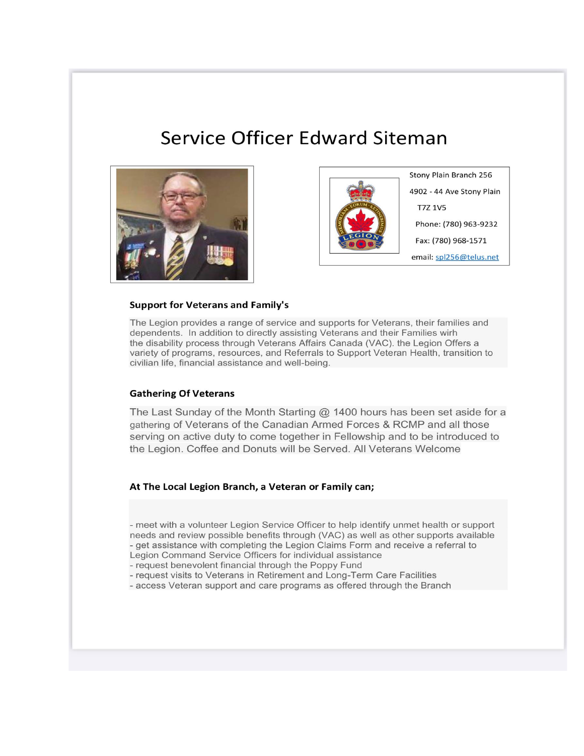# **Service Officer Edward Siteman**





Stony Plain Branch 256 4902 - 44 Ave Stony Plain **T7Z 1V5** Phone: (780) 963-9232 Fax: (780) 968-1571 email: spl256@telus.net

### **Support for Veterans and Family's**

The Legion provides a range of service and supports for Veterans, their families and dependents. In addition to directly assisting Veterans and their Families wirh the disability process through Veterans Affairs Canada (VAC), the Legion Offers a variety of programs, resources, and Referrals to Support Veteran Health, transition to civilian life, financial assistance and well-being.

### **Gathering Of Veterans**

The Last Sunday of the Month Starting  $@$  1400 hours has been set aside for a gathering of Veterans of the Canadian Armed Forces & RCMP and all those serving on active duty to come together in Fellowship and to be introduced to the Legion. Coffee and Donuts will be Served. All Veterans Welcome

### At The Local Legion Branch, a Veteran or Family can;

- meet with a volunteer Legion Service Officer to help identify unmet health or support needs and review possible benefits through (VAC) as well as other supports available - get assistance with completing the Legion Claims Form and receive a referral to Legion Command Service Officers for individual assistance

- request benevolent financial through the Poppy Fund
- request visits to Veterans in Retirement and Long-Term Care Facilities
- access Veteran support and care programs as offered through the Branch